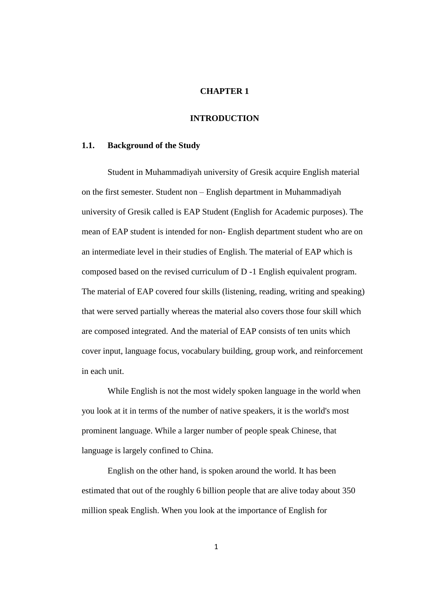#### **CHAPTER 1**

# **INTRODUCTION**

#### **1.1. Background of the Study**

Student in Muhammadiyah university of Gresik acquire English material on the first semester. Student non – English department in Muhammadiyah university of Gresik called is EAP Student (English for Academic purposes). The mean of EAP student is intended for non- English department student who are on an intermediate level in their studies of English. The material of EAP which is composed based on the revised curriculum of D -1 English equivalent program. The material of EAP covered four skills (listening, reading, writing and speaking) that were served partially whereas the material also covers those four skill which are composed integrated. And the material of EAP consists of ten units which cover input, language focus, vocabulary building, group work, and reinforcement in each unit.

While English is not the most widely spoken language in the world when you look at it in terms of the number of native speakers, it is the world's most prominent language. While a larger number of people speak Chinese, that language is largely confined to China.

English on the other hand, is spoken around the world. It has been estimated that out of the roughly 6 billion people that are alive today about 350 million speak English. When you look at the importance of English for

1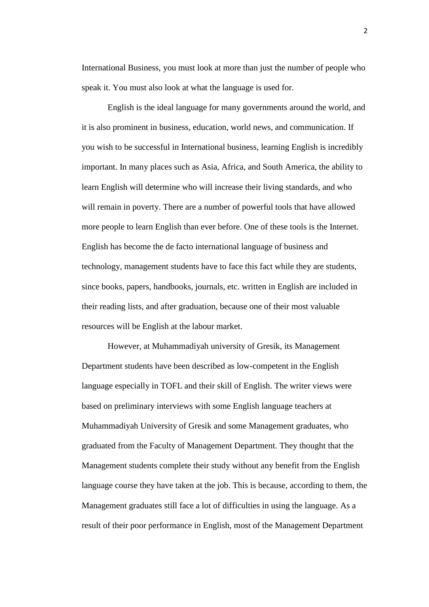International Business, you must look at more than just the number of people who speak it. You must also look at what the language is used for.

English is the ideal language for many governments around the world, and it is also prominent in business, education, world news, and communication. If you wish to be successful in International business, learning English is incredibly important. In many places such as Asia, Africa, and South America, the ability to learn English will determine who will increase their living standards, and who will remain in poverty. There are a number of powerful tools that have allowed more people to learn English than ever before. One of these tools is the Internet. English has become the de facto international language of business and technology, management students have to face this fact while they are students, since books, papers, handbooks, journals, etc. written in English are included in their reading lists, and after graduation, because one of their most valuable resources will be English at the labour market.

However, at Muhammadiyah university of Gresik, its Management Department students have been described as low-competent in the English language especially in TOFL and their skill of English. The writer views were based on preliminary interviews with some English language teachers at Muhammadiyah University of Gresik and some Management graduates, who graduated from the Faculty of Management Department. They thought that the Management students complete their study without any benefit from the English language course they have taken at the job. This is because, according to them, the Management graduates still face a lot of difficulties in using the language. As a result of their poor performance in English, most of the Management Department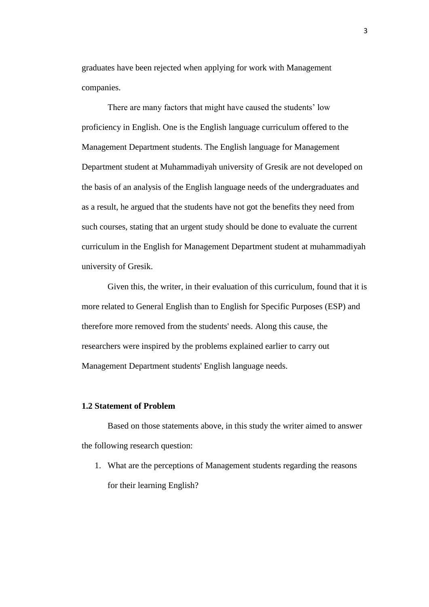graduates have been rejected when applying for work with Management companies.

There are many factors that might have caused the students' low proficiency in English. One is the English language curriculum offered to the Management Department students. The English language for Management Department student at Muhammadiyah university of Gresik are not developed on the basis of an analysis of the English language needs of the undergraduates and as a result, he argued that the students have not got the benefits they need from such courses, stating that an urgent study should be done to evaluate the current curriculum in the English for Management Department student at muhammadiyah university of Gresik.

Given this, the writer, in their evaluation of this curriculum, found that it is more related to General English than to English for Specific Purposes (ESP) and therefore more removed from the students' needs. Along this cause, the researchers were inspired by the problems explained earlier to carry out Management Department students' English language needs.

# **1.2 Statement of Problem**

Based on those statements above, in this study the writer aimed to answer the following research question:

1. What are the perceptions of Management students regarding the reasons for their learning English?

3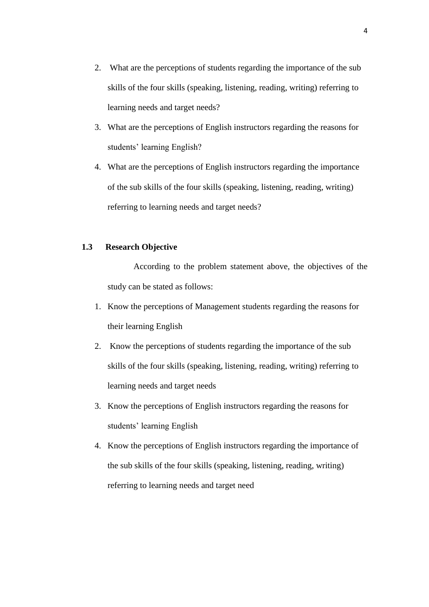- 2. What are the perceptions of students regarding the importance of the sub skills of the four skills (speaking, listening, reading, writing) referring to learning needs and target needs?
- 3. What are the perceptions of English instructors regarding the reasons for students' learning English?
- 4. What are the perceptions of English instructors regarding the importance of the sub skills of the four skills (speaking, listening, reading, writing) referring to learning needs and target needs?

# **1.3 Research Objective**

According to the problem statement above, the objectives of the study can be stated as follows:

- 1. Know the perceptions of Management students regarding the reasons for their learning English
- 2. Know the perceptions of students regarding the importance of the sub skills of the four skills (speaking, listening, reading, writing) referring to learning needs and target needs
- 3. Know the perceptions of English instructors regarding the reasons for students' learning English
- 4. Know the perceptions of English instructors regarding the importance of the sub skills of the four skills (speaking, listening, reading, writing) referring to learning needs and target need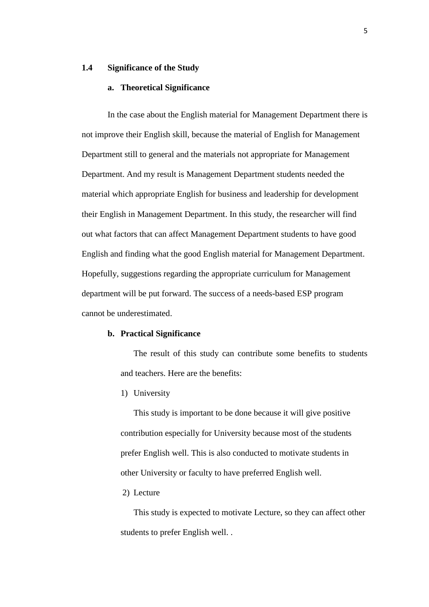# **1.4 Significance of the Study**

## **a. Theoretical Significance**

In the case about the English material for Management Department there is not improve their English skill, because the material of English for Management Department still to general and the materials not appropriate for Management Department. And my result is Management Department students needed the material which appropriate English for business and leadership for development their English in Management Department. In this study, the researcher will find out what factors that can affect Management Department students to have good English and finding what the good English material for Management Department. Hopefully, suggestions regarding the appropriate curriculum for Management department will be put forward. The success of a needs-based ESP program cannot be underestimated.

#### **b. Practical Significance**

The result of this study can contribute some benefits to students and teachers. Here are the benefits:

1) University

This study is important to be done because it will give positive contribution especially for University because most of the students prefer English well. This is also conducted to motivate students in other University or faculty to have preferred English well.

2) Lecture

This study is expected to motivate Lecture, so they can affect other students to prefer English well. .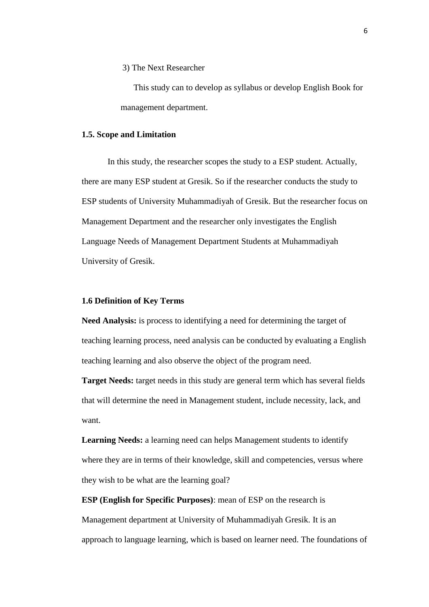3) The Next Researcher

This study can to develop as syllabus or develop English Book for management department.

### **1.5. Scope and Limitation**

In this study, the researcher scopes the study to a ESP student. Actually, there are many ESP student at Gresik. So if the researcher conducts the study to ESP students of University Muhammadiyah of Gresik. But the researcher focus on Management Department and the researcher only investigates the English Language Needs of Management Department Students at Muhammadiyah University of Gresik.

### **1.6 Definition of Key Terms**

**Need Analysis:** is process to identifying a need for determining the target of teaching learning process, need analysis can be conducted by evaluating a English teaching learning and also observe the object of the program need.

**Target Needs:** target needs in this study are general term which has several fields that will determine the need in Management student, include necessity, lack, and want.

**Learning Needs:** a learning need can helps Management students to identify where they are in terms of their knowledge, skill and competencies, versus where they wish to be what are the learning goal?

**ESP (English for Specific Purposes)**: mean of ESP on the research is Management department at University of Muhammadiyah Gresik. It is an approach to language learning, which is based on learner need. The foundations of